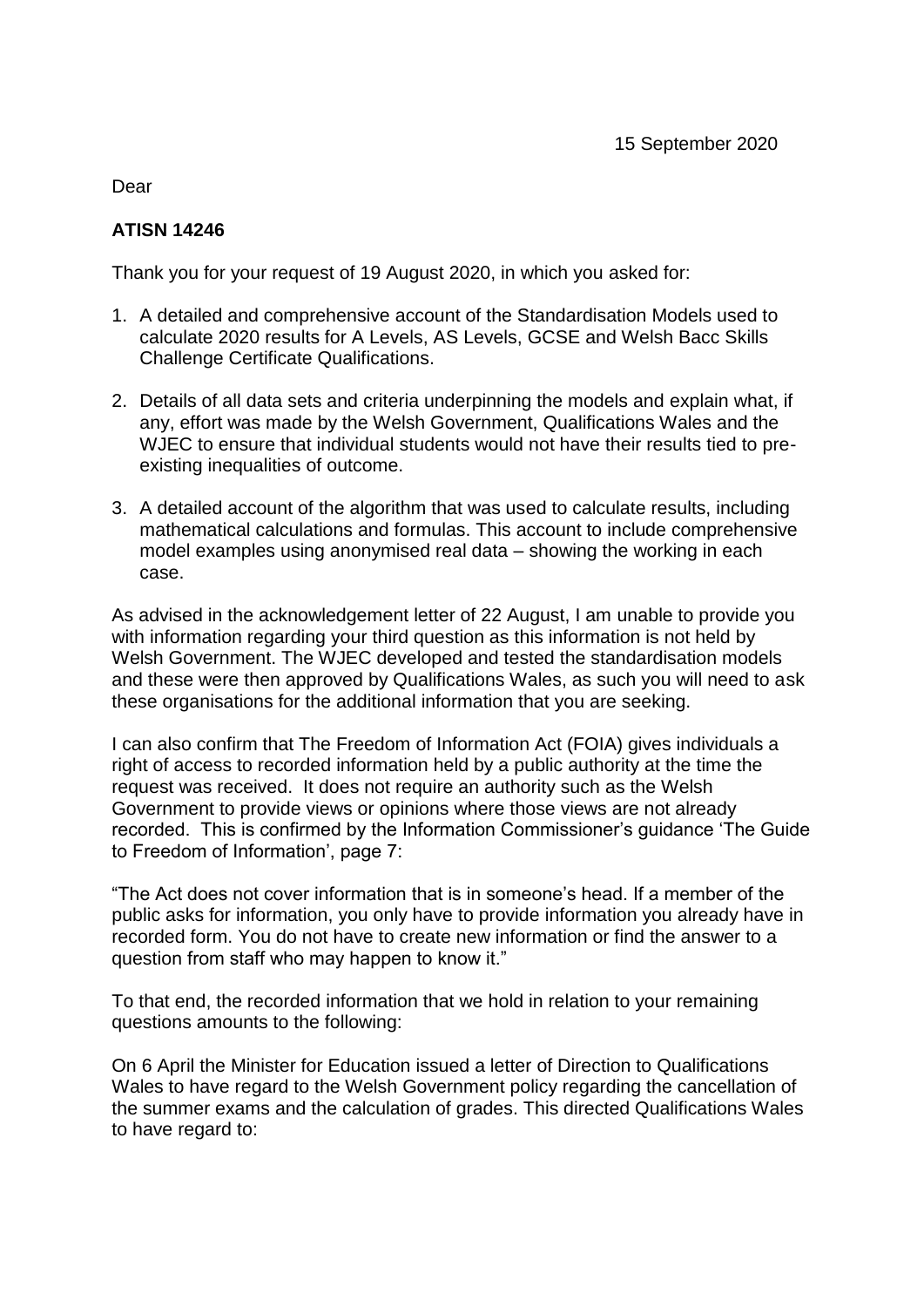Dear

## **ATISN 14246**

Thank you for your request of 19 August 2020, in which you asked for:

- 1. A detailed and comprehensive account of the Standardisation Models used to calculate 2020 results for A Levels, AS Levels, GCSE and Welsh Bacc Skills Challenge Certificate Qualifications.
- 2. Details of all data sets and criteria underpinning the models and explain what, if any, effort was made by the Welsh Government, Qualifications Wales and the WJEC to ensure that individual students would not have their results tied to preexisting inequalities of outcome.
- 3. A detailed account of the algorithm that was used to calculate results, including mathematical calculations and formulas. This account to include comprehensive model examples using anonymised real data – showing the working in each case.

As advised in the acknowledgement letter of 22 August, I am unable to provide you with information regarding your third question as this information is not held by Welsh Government. The WJEC developed and tested the standardisation models and these were then approved by Qualifications Wales, as such you will need to ask these organisations for the additional information that you are seeking.

I can also confirm that The Freedom of Information Act (FOIA) gives individuals a right of access to recorded information held by a public authority at the time the request was received. It does not require an authority such as the Welsh Government to provide views or opinions where those views are not already recorded. This is confirmed by the Information Commissioner's guidance 'The Guide to Freedom of Information', page 7:

"The Act does not cover information that is in someone's head. If a member of the public asks for information, you only have to provide information you already have in recorded form. You do not have to create new information or find the answer to a question from staff who may happen to know it."

To that end, the recorded information that we hold in relation to your remaining questions amounts to the following:

On 6 April the Minister for Education issued a letter of Direction to Qualifications Wales to have regard to the Welsh Government policy regarding the cancellation of the summer exams and the calculation of grades. This directed Qualifications Wales to have regard to: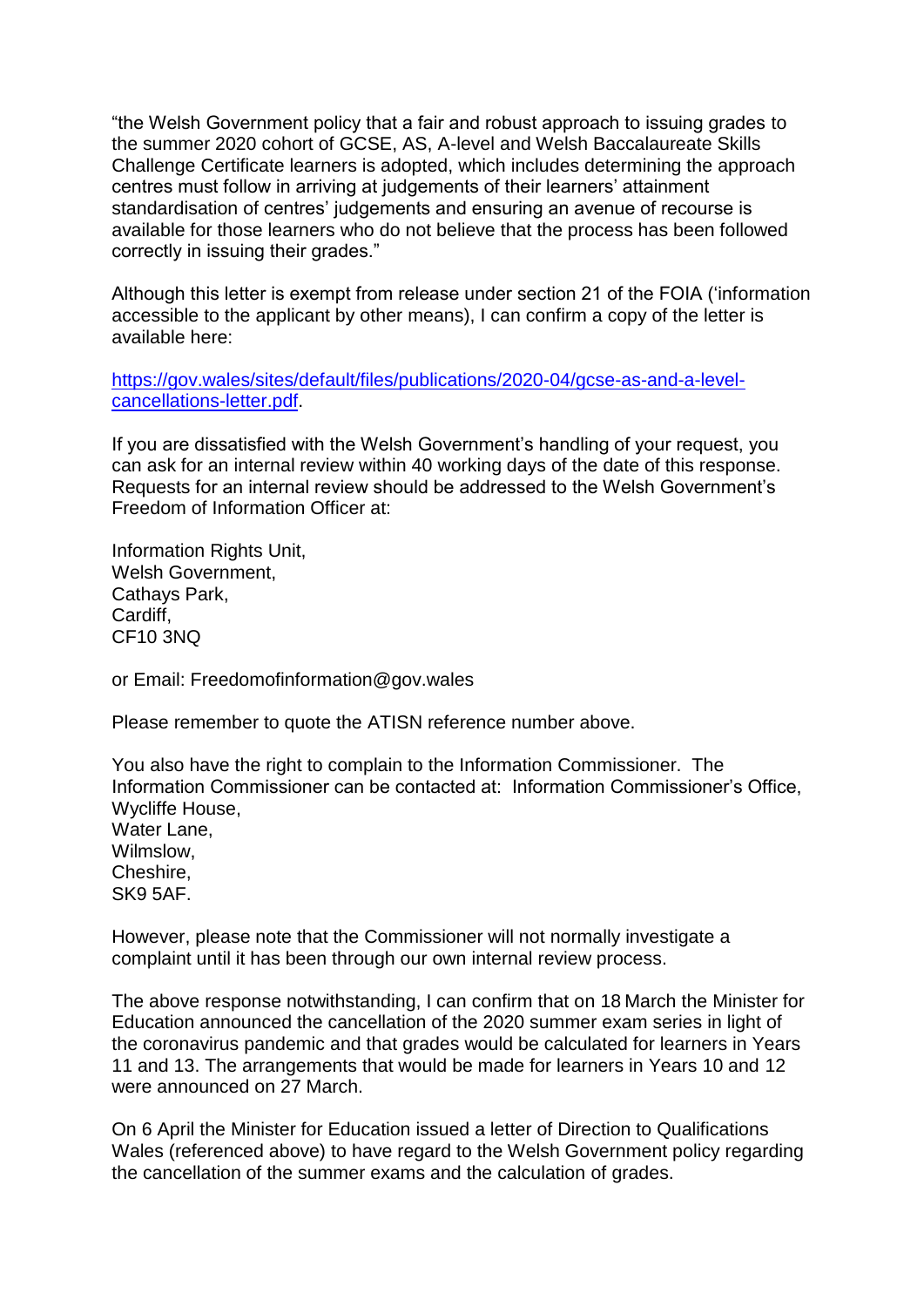"the Welsh Government policy that a fair and robust approach to issuing grades to the summer 2020 cohort of GCSE, AS, A-level and Welsh Baccalaureate Skills Challenge Certificate learners is adopted, which includes determining the approach centres must follow in arriving at judgements of their learners' attainment standardisation of centres' judgements and ensuring an avenue of recourse is available for those learners who do not believe that the process has been followed correctly in issuing their grades."

Although this letter is exempt from release under section 21 of the FOIA ('information accessible to the applicant by other means), I can confirm a copy of the letter is available here:

[https://gov.wales/sites/default/files/publications/2020-04/gcse-as-and-a-level](https://gov.wales/sites/default/files/publications/2020-04/gcse-as-and-a-level-cancellations-letter.pdf)[cancellations-letter.pdf.](https://gov.wales/sites/default/files/publications/2020-04/gcse-as-and-a-level-cancellations-letter.pdf)

If you are dissatisfied with the Welsh Government's handling of your request, you can ask for an internal review within 40 working days of the date of this response. Requests for an internal review should be addressed to the Welsh Government's Freedom of Information Officer at:

Information Rights Unit, Welsh Government, Cathays Park, **Cardiff** CF10 3NQ

or Email: Freedomofinformation@gov.wales

Please remember to quote the ATISN reference number above.

You also have the right to complain to the Information Commissioner. The Information Commissioner can be contacted at: Information Commissioner's Office, Wycliffe House, Water Lane, Wilmslow, Cheshire, SK9 5AF.

However, please note that the Commissioner will not normally investigate a complaint until it has been through our own internal review process.

The above response notwithstanding, I can confirm that on 18 March the Minister for Education announced the cancellation of the 2020 summer exam series in light of the coronavirus pandemic and that grades would be calculated for learners in Years 11 and 13. The arrangements that would be made for learners in Years 10 and 12 were announced on 27 March.

On 6 April the Minister for Education issued a letter of Direction to Qualifications Wales (referenced above) to have regard to the Welsh Government policy regarding the cancellation of the summer exams and the calculation of grades.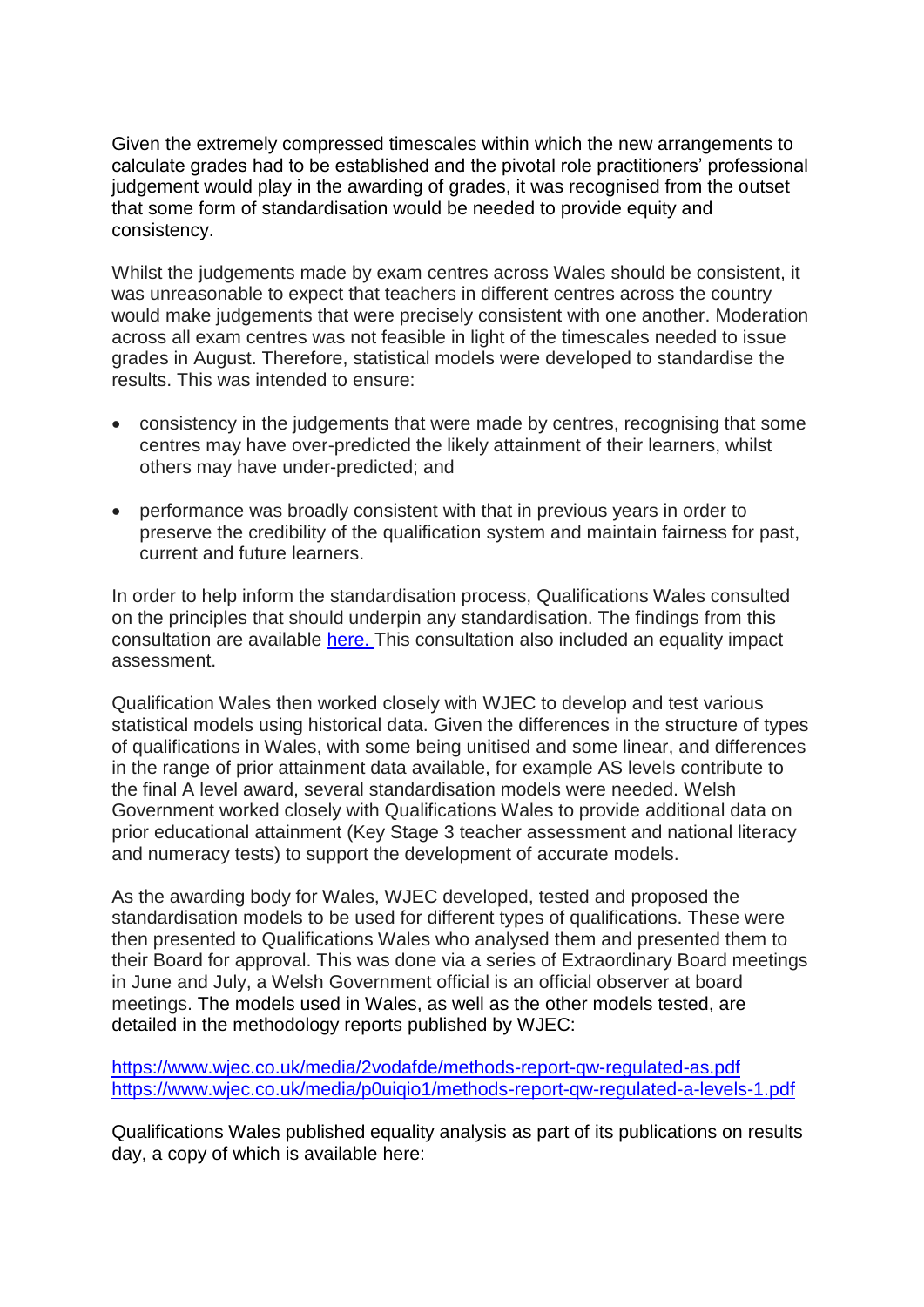Given the extremely compressed timescales within which the new arrangements to calculate grades had to be established and the pivotal role practitioners' professional judgement would play in the awarding of grades, it was recognised from the outset that some form of standardisation would be needed to provide equity and consistency.

Whilst the judgements made by exam centres across Wales should be consistent, it was unreasonable to expect that teachers in different centres across the country would make judgements that were precisely consistent with one another. Moderation across all exam centres was not feasible in light of the timescales needed to issue grades in August. Therefore, statistical models were developed to standardise the results. This was intended to ensure:

- consistency in the judgements that were made by centres, recognising that some centres may have over-predicted the likely attainment of their learners, whilst others may have under-predicted; and
- performance was broadly consistent with that in previous years in order to preserve the credibility of the qualification system and maintain fairness for past, current and future learners.

In order to help inform the standardisation process, Qualifications Wales consulted on the principles that should underpin any standardisation. The findings from this consultation are available here. This consultation also included an equality impact assessment.

Qualification Wales then worked closely with WJEC to develop and test various statistical models using historical data. Given the differences in the structure of types of qualifications in Wales, with some being unitised and some linear, and differences in the range of prior attainment data available, for example AS levels contribute to the final A level award, several standardisation models were needed. Welsh Government worked closely with Qualifications Wales to provide additional data on prior educational attainment (Key Stage 3 teacher assessment and national literacy and numeracy tests) to support the development of accurate models.

As the awarding body for Wales, WJEC developed, tested and proposed the standardisation models to be used for different types of qualifications. These were then presented to Qualifications Wales who analysed them and presented them to their Board for approval. This was done via a series of Extraordinary Board meetings in June and July, a Welsh Government official is an official observer at board meetings. The models used in Wales, as well as the other models tested, are detailed in the methodology reports published by WJEC:

[https://www.wjec.co.uk/media/2vodafde/methods-report-qw-regulated-as.pdf](https://eur01.safelinks.protection.outlook.com/?url=https%3A%2F%2Fwww.wjec.co.uk%2Fmedia%2F2vodafde%2Fmethods-report-qw-regulated-as.pdf&data=02%7C01%7CVivienne.Wilfred%40gov.wales%7Cf120ad40d31c4e3bd5ab08d850b7e234%7Ca2cc36c592804ae78887d06dab89216b%7C0%7C0%7C637348097982232993&sdata=uU7jjWSzfavzwVLuByIxp0wojwuH9Cii0ApsorTU7Lg%3D&reserved=0) [https://www.wjec.co.uk/media/p0uiqio1/methods-report-qw-regulated-a-levels-1.pdf](https://eur01.safelinks.protection.outlook.com/?url=https%3A%2F%2Fwww.wjec.co.uk%2Fmedia%2Fp0uiqio1%2Fmethods-report-qw-regulated-a-levels-1.pdf&data=02%7C01%7CVivienne.Wilfred%40gov.wales%7Cf120ad40d31c4e3bd5ab08d850b7e234%7Ca2cc36c592804ae78887d06dab89216b%7C0%7C0%7C637348097982232993&sdata=4CBcPzJk3zOk%2FNAQQwvCu3BGUndwtf1PxvPuqXYvhZw%3D&reserved=0)

Qualifications Wales published equality analysis as part of its publications on results day, a copy of which is available here: